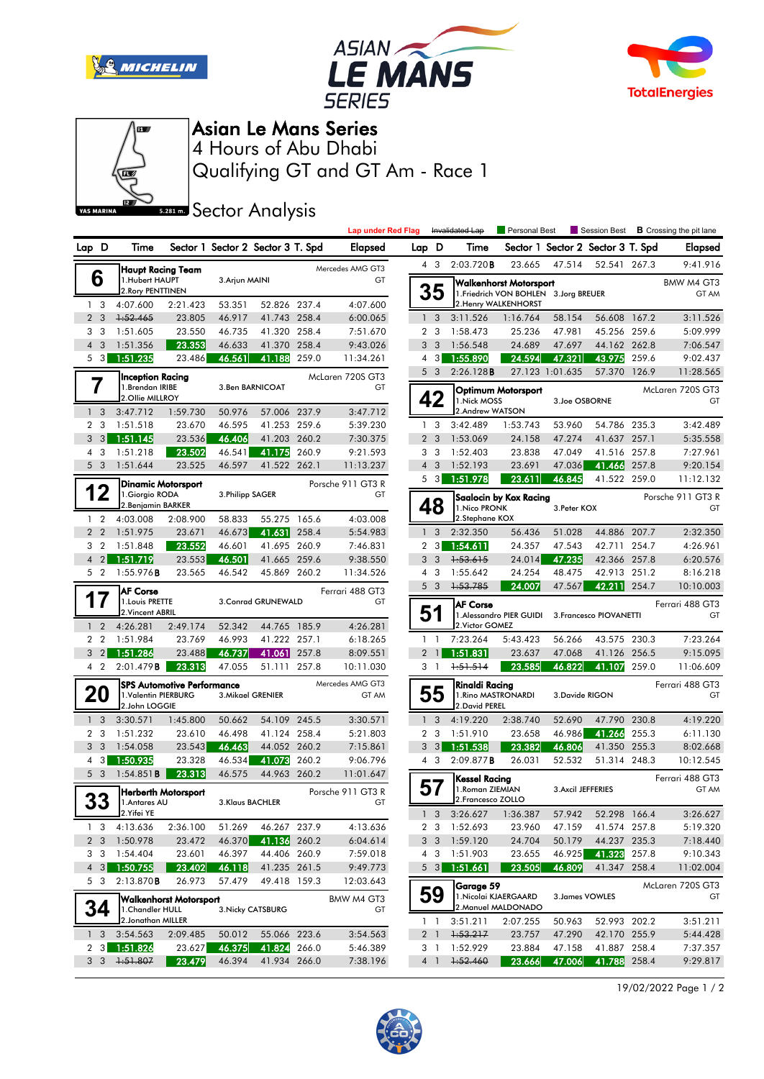







## Asian Le Mans Series

Qualifying GT and GT Am - Race 1 4 Hours of Abu Dhabi

**Sector Analysis** 

|                |                                           |                                                                               |                                                  |                  |                                            |                        | <b>Lap under Red Flag</b> |                |                                                                        | Invalidated Lap                                                                          | Personal Best         |                    |                                   |                        | Session Best <b>B</b> Crossing the pit lane |
|----------------|-------------------------------------------|-------------------------------------------------------------------------------|--------------------------------------------------|------------------|--------------------------------------------|------------------------|---------------------------|----------------|------------------------------------------------------------------------|------------------------------------------------------------------------------------------|-----------------------|--------------------|-----------------------------------|------------------------|---------------------------------------------|
|                | Lap D                                     | Time                                                                          |                                                  |                  | Sector 1 Sector 2 Sector 3 T. Spd          |                        | <b>Elapsed</b>            | Lap D          |                                                                        | Time                                                                                     |                       |                    | Sector 1 Sector 2 Sector 3 T. Spd |                        | <b>Elapsed</b>                              |
|                |                                           |                                                                               | Haupt Racing Team                                |                  |                                            |                        | Mercedes AMG GT3          |                | 4 3                                                                    | 2:03.720B                                                                                | 23.665                | 47.514             | 52.541 267.3                      |                        | 9:41.916                                    |
|                | 6<br>1.Hubert HAUPT<br>2. Rory PENTTINEN  |                                                                               | 3. Arjun MAINI                                   |                  | GT                                         |                        |                           | 35             |                                                                        | Walkenhorst Motorsport<br>1. Friedrich VON BOHLEN 3. Jorg BREUER<br>2. Henry WALKENHORST |                       |                    | BMW M4 GT3<br>GT AM               |                        |                                             |
|                | 1 <sub>3</sub>                            | 4:07.600                                                                      | 2:21.423                                         | 53.351           | 52.826 237.4                               |                        | 4:07.600                  |                |                                                                        |                                                                                          |                       |                    |                                   |                        |                                             |
| $\overline{2}$ | $\overline{\mathbf{3}}$<br>3 <sub>3</sub> | 1:52.465<br>1:51.605                                                          | 23.805<br>23.550                                 | 46.917<br>46.735 | 41.743 258.4<br>41.320 258.4               |                        | 6:00.065<br>7:51.670      |                | 1 <sup>3</sup><br>2 <sub>3</sub>                                       | 3:11.526<br>1:58.473                                                                     | 1:16.764<br>25.236    | 58.154<br>47.981   | 56.608 167.2<br>45.256 259.6      |                        | 3:11.526<br>5:09.999                        |
|                | $4 \overline{3}$                          | 1:51.356                                                                      | 23.353                                           | 46.633           | 41.370 258.4                               |                        | 9:43.026                  |                | 3 <sub>3</sub>                                                         | 1:56.548                                                                                 | 24.689                | 47.697             | 44.162 262.8                      |                        | 7:06.547                                    |
|                | 5 <sub>3</sub>                            | 1:51.235                                                                      | 23.486                                           | 46.561           | 41.188 259.0                               |                        | 11:34.261                 |                | 4 3                                                                    | 1:55.890                                                                                 | 24.594                | 47.321             | 43.975                            | 259.6                  | 9:02.437                                    |
|                |                                           |                                                                               |                                                  |                  |                                            |                        |                           |                | 5 <sub>3</sub>                                                         | 2:26.128B                                                                                |                       | 27.123 1:01.635    | 57.370 126.9                      |                        | 11:28.565                                   |
|                |                                           | Inception Racing<br>1.Brendan IRIBE<br>2.Ollie MILLROY                        |                                                  | 3.Ben BARNICOAT  |                                            | McLaren 720S GT3<br>GT |                           |                | 42                                                                     | Optimum Motorsport<br>1. Nick MOSS                                                       |                       | 3.Joe OSBORNE      |                                   | McLaren 720S GT3<br>GT |                                             |
|                | 1 <sub>3</sub>                            | 3:47.712                                                                      | 1:59.730                                         | 50.976           | 57.006 237.9                               |                        | 3:47.712                  |                |                                                                        | 2.Andrew WATSON                                                                          |                       |                    |                                   |                        |                                             |
|                | 2 <sub>3</sub>                            | 1:51.518                                                                      | 23.670                                           | 46.595           | 41.253 259.6                               |                        | 5:39.230                  | $\mathbf{1}$   | 3                                                                      | 3:42.489                                                                                 | 1:53.743              | 53.960             | 54.786 235.3                      |                        | 3:42.489                                    |
| 3              | $\overline{3}$                            | 1:51.145                                                                      | 23.536                                           | 46.406           | 41.203 260.2                               |                        | 7:30.375                  | $\overline{2}$ | 3                                                                      | 1:53.069                                                                                 | 24.158                | 47.274             | 41.637 257.1                      |                        | 5:35.558                                    |
| 4              | 3                                         | 1:51.218                                                                      | 23.502                                           | 46.541           | 41.175                                     | 260.9                  | 9:21.593                  |                | 3 <sub>3</sub>                                                         | 1:52.403                                                                                 | 23.838                | 47.049             | 41.516 257.8                      |                        | 7:27.961                                    |
|                | 5 <sub>3</sub>                            | 1:51.644                                                                      | 23.525                                           | 46.597           | 41.522 262.1                               |                        | 11:13.237                 |                | $4\quad3$                                                              | 1:52.193                                                                                 | 23.691                | 47.036             | 41.466                            | 257.8                  | 9:20.154                                    |
|                |                                           |                                                                               | Dinamic Motorsport                               |                  |                                            |                        | Porsche 911 GT3 R         |                | $5 \quad 3$                                                            | 1:51.978                                                                                 | 23.611                | 46.845             | 41.522 259.0                      |                        | 11:12.132                                   |
|                | 12<br>$1\quad 2$                          | 4:03.008                                                                      | 1.Giorgio RODA<br>2. Benjamin BARKER<br>2:08.900 |                  | 3. Philipp SAGER<br>58.833<br>55.275 165.6 |                        | GT                        |                | 48                                                                     | Saalocin by Kox Racing<br>1. Nico PRONK<br>3. Peter KOX<br>2.Stephane KOX                |                       |                    | Porsche 911 GT3 R<br>GT           |                        |                                             |
|                | 2 <sub>2</sub>                            | 1:51.975                                                                      | 23.671                                           | 46.673           | 41.631 258.4                               |                        | 4:03.008<br>5:54.983      | $\mathbf{1}$   | 3                                                                      | 2:32.350                                                                                 | 56.436                | 51.028             | 44.886 207.7                      |                        | 2:32.350                                    |
| 3              | $\overline{2}$                            | 1:51.848                                                                      | 23.552                                           | 46.601           | 41.695 260.9                               |                        | 7:46.831                  | $\overline{2}$ | $\lceil 3 \rceil$                                                      | 1:54.611                                                                                 | 24.357                | 47.543             | 42.711                            | 254.7                  | 4:26.961                                    |
| $\overline{4}$ | $\overline{2}$                            | 1:51.719                                                                      | 23.553                                           | 46.501           | 41.665 259.6                               |                        | 9:38.550                  |                | 3 <sub>3</sub>                                                         | 1:53.615                                                                                 | 24.014                | 47.235             | 42.366 257.8                      |                        | 6:20.576                                    |
|                | 5 <sub>2</sub>                            | 1:55.976B                                                                     | 23.565                                           | 46.542           | 45.869 260.2                               |                        | 11:34.526                 |                | 4 3                                                                    | 1:55.642                                                                                 | 24.254                | 48.475             | 42.913 251.2                      |                        | 8:16.218                                    |
|                |                                           |                                                                               |                                                  |                  |                                            |                        | Ferrari 488 GT3           |                | 5 <sub>3</sub>                                                         | 1:53.785                                                                                 | 24.007                | 47.567             | 42.211                            | 254.7                  | 10:10.003                                   |
|                |                                           | <b>AF Corse</b><br>1. Louis PRETTE<br>3. Conrad GRUNEWALD<br>2. Vincent ABRIL |                                                  |                  |                                            | GT                     |                           | 51             | <b>AF Corse</b><br>1. Alessandro PIER GUIDI<br>3. Francesco PIOVANETTI |                                                                                          |                       |                    | Ferrari 488 GT3<br>GT             |                        |                                             |
|                | 1 <sub>2</sub>                            | 4:26.281                                                                      | 2:49.174                                         | 52.342           | 44.765 185.9                               |                        | 4:26.281                  |                |                                                                        | 2. Victor GOMEZ                                                                          |                       |                    |                                   |                        |                                             |
|                | 2 <sub>2</sub>                            | 1:51.984                                                                      | 23.769                                           | 46.993           | 41.222 257.1                               |                        | 6:18.265                  |                | $1\quad$                                                               | 7:23.264                                                                                 | 5:43.423              | 56.266             | 43.575 230.3                      |                        | 7:23.264                                    |
|                | 3 <sub>2</sub>                            | 1:51.286                                                                      |                                                  |                  |                                            |                        |                           |                |                                                                        | 1:51.831                                                                                 | 23.637                | 47.068             |                                   |                        | 9:15.095                                    |
|                | 4 2                                       |                                                                               | 23.488                                           | 46.737           | 41.061                                     | 257.8                  | 8:09.551                  |                | $2 \mid$                                                               |                                                                                          |                       |                    | 41.126 256.5                      |                        |                                             |
|                |                                           | 2:01.479B                                                                     | 23.313                                           | 47.055           | 51.111 257.8                               |                        | 10:11.030                 |                | 3 <sub>1</sub>                                                         | 1:51.514                                                                                 | 23.585                | 46.822             | 41.107                            | 259.0                  | 11:06.609                                   |
|                | 20                                        | 1.Valentin PIERBURG<br>2.John LOGGIE                                          | <b>SPS Automotive Performance</b>                |                  | 3. Mikael GRENIER                          |                        | Mercedes AMG GT3<br>GT AM |                | 55                                                                     | Rinaldi Racing<br>2. David PEREL                                                         | 1. Rino MASTRONARDI   | 3. Davide RIGON    |                                   |                        | Ferrari 488 GT3<br>GT                       |
|                | 1 <sub>3</sub>                            | 3:30.571                                                                      | 1:45.800                                         | 50.662           | 54.109 245.5                               |                        | 3:30.571                  |                | 1 <sup>3</sup>                                                         | 4:19.220                                                                                 | 2:38.740              | 52.690             | 47.790 230.8                      |                        | 4:19.220                                    |
|                | 2 <sub>3</sub>                            | 1:51.232                                                                      | 23.610                                           | 46.498           | 41.124 258.4                               |                        | 5:21.803                  |                | 2 <sub>3</sub>                                                         | 1:51.910                                                                                 | 23.658                | 46.986             | 41.266                            | 255.3                  |                                             |
| 3              | $\overline{\mathbf{3}}$                   | 1:54.058                                                                      | 23.543                                           | 46.463           | 44.052 260.2                               |                        | 7:15.861                  |                | $3 \quad 3$                                                            | 1:51.538                                                                                 | 23.382                | 46.806             | 41.350 255.3                      |                        | 6:11.130<br>8:02.668                        |
| 4              | 3                                         | 1:50.935                                                                      | 23.328                                           | 46.534           | 41.073                                     | 260.2                  | 9:06.796                  |                | 4 3                                                                    | 2:09.877B                                                                                | 26.031                | 52.532             | 51.314 248.3                      |                        | 10:12.545                                   |
|                | 5 <sub>3</sub>                            | 1:54.851B                                                                     | 23.313                                           | 46.575           | 44.963 260.2                               |                        | 11:01.647                 |                |                                                                        |                                                                                          |                       |                    |                                   |                        | Ferrari 488 GT3                             |
|                | n n<br>აა                                 | 1.Antares AU                                                                  | Herberth Motorsport                              |                  | 3.Klaus BACHLER                            |                        | Porsche 911 GT3 R<br>GT   | 57             |                                                                        | Kessel Racing<br>1. Roman ZIEMIAN<br>2. Francesco ZOLLO                                  |                       | 3. Axcil JEFFERIES |                                   |                        | GT AM                                       |
|                |                                           | 2. Yifei YE                                                                   |                                                  |                  |                                            |                        |                           |                |                                                                        | $1 \quad 3 \quad 3:26.627$                                                               | 1:36.387              | 57.942             | 52.298 166.4                      |                        | 3:26.627                                    |
|                | 1 <sub>3</sub>                            | 4:13.636                                                                      | 2:36.100                                         | 51.269           | 46.267 237.9                               |                        | 4:13.636                  |                | 2 3                                                                    | 1:52.693                                                                                 | 23.960                | 47.159             | 41.574 257.8                      |                        | 5:19.320                                    |
|                | 2 <sub>3</sub>                            | 1:50.978                                                                      | 23.472                                           | 46.370           | 41.136 260.2                               |                        | 6:04.614                  |                | 3 <sub>3</sub>                                                         | 1:59.120                                                                                 | 24.704                | 50.179             | 44.237 235.3                      |                        | 7:18.440                                    |
|                | 3 <sub>3</sub>                            | 1:54.404                                                                      | 23.601                                           | 46.397           | 44.406 260.9                               |                        | 7:59.018                  |                | $4\quad 3$                                                             | 1:51.903                                                                                 | 23.655                | 46.925             | 41.323 257.8                      |                        | 9:10.343                                    |
|                | $4 \quad 3$                               | 1:50.755                                                                      | 23.402                                           | 46.118           | 41.235 261.5                               |                        | 9:49.773                  |                | $5 \quad 3$                                                            | 1:51.661                                                                                 | 23.505                | 46.809             | 41.347 258.4                      |                        | 11:02.004                                   |
|                | 5 3                                       | 2:13.870B                                                                     | 26.973<br>Walkenhorst Motorsport                 | 57.479           | 49.418 159.3                               |                        | 12:03.643<br>BMW M4 GT3   |                | 59                                                                     | Garage 59                                                                                | 1. Nicolai KJAERGAARD |                    | 3. James VOWLES                   |                        | McLaren 720S GT3<br>GT                      |
|                | 34                                        | 1. Chandler HULL                                                              |                                                  |                  | 3. Nicky CATSBURG                          |                        | GT                        |                |                                                                        |                                                                                          | 2. Manuel MALDONADO   |                    |                                   |                        |                                             |
|                |                                           | 2. Jonathan MILLER                                                            |                                                  |                  |                                            |                        |                           |                | $1\quad$                                                               | 3:51.211                                                                                 | 2:07.255              | 50.963             | 52.993 202.2                      |                        | 3:51.211                                    |
|                | 1 <sub>3</sub><br>2 <sub>3</sub>          | 3:54.563                                                                      | 2:09.485                                         | 50.012<br>46.375 | 55.066 223.6                               |                        | 3:54.563<br>5:46.389      |                | 2 <sub>1</sub><br>3 1                                                  | 1:53.217<br>1:52.929                                                                     | 23.757<br>23.884      | 47.290             | 42.170 255.9                      |                        | 5:44.428                                    |
|                | 3 <sub>3</sub>                            | 1:51.826<br>1:51.807                                                          | 23.627<br>23.479                                 | 46.394           | 41.824 266.0<br>41.934 266.0               |                        | 7:38.196                  |                | 4 <sup>1</sup>                                                         | 1:52.460                                                                                 | 23.666                | 47.158<br>47.006   | 41.887 258.4<br>41.788 258.4      |                        | 7:37.357<br>9:29.817                        |

19/02/2022 Page 1 / 2